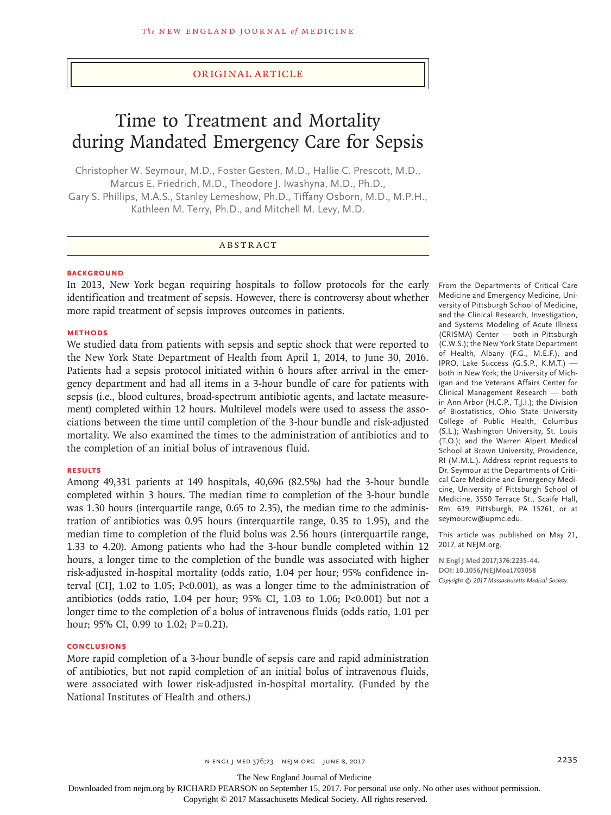## Original Article

# Time to Treatment and Mortality during Mandated Emergency Care for Sepsis

Christopher W. Seymour, M.D., Foster Gesten, M.D., Hallie C. Prescott, M.D., Marcus E. Friedrich, M.D., Theodore J. Iwashyna, M.D., Ph.D., Gary S. Phillips, M.A.S., Stanley Lemeshow, Ph.D., Tiffany Osborn, M.D., M.P.H., Kathleen M. Terry, Ph.D., and Mitchell M. Levy, M.D.

## ABSTRACT

#### **BACKGROUND**

In 2013, New York began requiring hospitals to follow protocols for the early identification and treatment of sepsis. However, there is controversy about whether more rapid treatment of sepsis improves outcomes in patients.

## **METHODS**

We studied data from patients with sepsis and septic shock that were reported to the New York State Department of Health from April 1, 2014, to June 30, 2016. Patients had a sepsis protocol initiated within 6 hours after arrival in the emergency department and had all items in a 3-hour bundle of care for patients with sepsis (i.e., blood cultures, broad-spectrum antibiotic agents, and lactate measurement) completed within 12 hours. Multilevel models were used to assess the associations between the time until completion of the 3-hour bundle and risk-adjusted mortality. We also examined the times to the administration of antibiotics and to the completion of an initial bolus of intravenous fluid.

#### **RESULTS**

Among 49,331 patients at 149 hospitals, 40,696 (82.5%) had the 3-hour bundle completed within 3 hours. The median time to completion of the 3-hour bundle was 1.30 hours (interquartile range, 0.65 to 2.35), the median time to the administration of antibiotics was 0.95 hours (interquartile range, 0.35 to 1.95), and the median time to completion of the fluid bolus was 2.56 hours (interquartile range, 1.33 to 4.20). Among patients who had the 3-hour bundle completed within 12 hours, a longer time to the completion of the bundle was associated with higher risk-adjusted in-hospital mortality (odds ratio, 1.04 per hour; 95% confidence interval  $\left[CI\right]$ , 1.02 to 1.05; P<0.001), as was a longer time to the administration of antibiotics (odds ratio, 1.04 per hour; 95% CI, 1.03 to 1.06; P<0.001) but not a longer time to the completion of a bolus of intravenous fluids (odds ratio, 1.01 per hour; 95% CI, 0.99 to 1.02; P=0.21).

## **CONCLUSIONS**

More rapid completion of a 3-hour bundle of sepsis care and rapid administration of antibiotics, but not rapid completion of an initial bolus of intravenous fluids, were associated with lower risk-adjusted in-hospital mortality. (Funded by the National Institutes of Health and others.)

From the Departments of Critical Care Medicine and Emergency Medicine, University of Pittsburgh School of Medicine, and the Clinical Research, Investigation, and Systems Modeling of Acute Illness (CRISMA) Center — both in Pittsburgh (C.W.S.); the New York State Department of Health, Albany (F.G., M.E.F.), and IPRO, Lake Success (G.S.P., K.M.T.) both in New York; the University of Michigan and the Veterans Affairs Center for Clinical Management Research — both in Ann Arbor (H.C.P., T.J.I.); the Division of Biostatistics, Ohio State University College of Public Health, Columbus (S.L.); Washington University, St. Louis (T.O.); and the Warren Alpert Medical School at Brown University, Providence, RI (M.M.L.). Address reprint requests to Dr. Seymour at the Departments of Critical Care Medicine and Emergency Medicine, University of Pittsburgh School of Medicine, 3550 Terrace St., Scaife Hall, Rm. 639, Pittsburgh, PA 15261, or at seymourcw@upmc.edu.

This article was published on May 21, 2017, at NEJM.org.

**N Engl J Med 2017;376:2235-44. DOI: 10.1056/NEJMoa1703058** *Copyright © 2017 Massachusetts Medical Society.*

The New England Journal of Medicine

Downloaded from nejm.org by RICHARD PEARSON on September 15, 2017. For personal use only. No other uses without permission.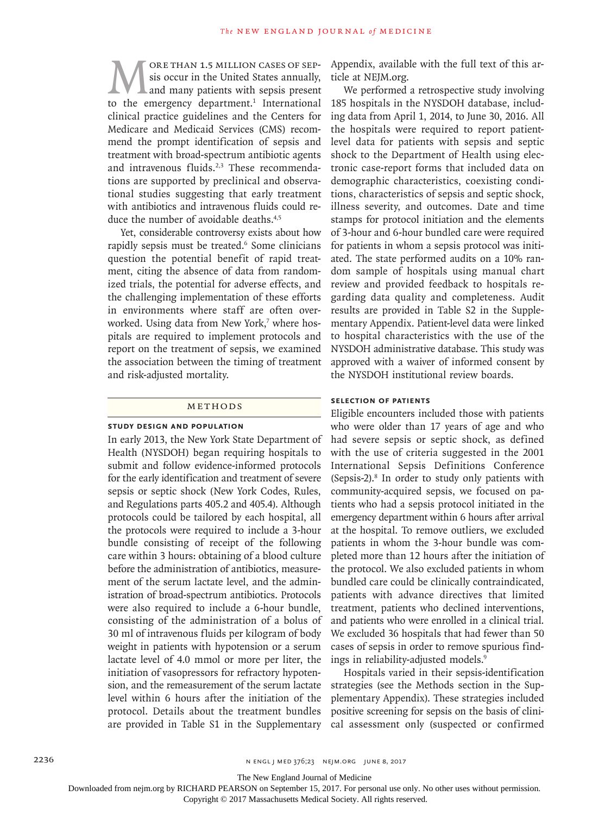**MORE THAN 1.5 MILLION CASES OF SEP-**<br>sis occur in the United States annually,<br>and many patients with sepsis present<br>to the emergency department.<sup>1</sup> International sis occur in the United States annually, and many patients with sepsis present to the emergency department.<sup>1</sup> International clinical practice guidelines and the Centers for Medicare and Medicaid Services (CMS) recommend the prompt identification of sepsis and treatment with broad-spectrum antibiotic agents and intravenous fluids.<sup>2,3</sup> These recommendations are supported by preclinical and observational studies suggesting that early treatment with antibiotics and intravenous fluids could reduce the number of avoidable deaths.<sup>4,5</sup>

Yet, considerable controversy exists about how rapidly sepsis must be treated.<sup>6</sup> Some clinicians question the potential benefit of rapid treatment, citing the absence of data from randomized trials, the potential for adverse effects, and the challenging implementation of these efforts in environments where staff are often overworked. Using data from New York,7 where hospitals are required to implement protocols and report on the treatment of sepsis, we examined the association between the timing of treatment and risk-adjusted mortality.

#### Methods

### **Study Design and Population**

In early 2013, the New York State Department of Health (NYSDOH) began requiring hospitals to submit and follow evidence-informed protocols for the early identification and treatment of severe sepsis or septic shock (New York Codes, Rules, and Regulations parts 405.2 and 405.4). Although protocols could be tailored by each hospital, all the protocols were required to include a 3-hour bundle consisting of receipt of the following care within 3 hours: obtaining of a blood culture before the administration of antibiotics, measurement of the serum lactate level, and the administration of broad-spectrum antibiotics. Protocols were also required to include a 6-hour bundle, consisting of the administration of a bolus of 30 ml of intravenous fluids per kilogram of body weight in patients with hypotension or a serum lactate level of 4.0 mmol or more per liter, the initiation of vasopressors for refractory hypotension, and the remeasurement of the serum lactate level within 6 hours after the initiation of the protocol. Details about the treatment bundles are provided in Table S1 in the Supplementary

Appendix, available with the full text of this article at NEJM.org.

We performed a retrospective study involving 185 hospitals in the NYSDOH database, including data from April 1, 2014, to June 30, 2016. All the hospitals were required to report patientlevel data for patients with sepsis and septic shock to the Department of Health using electronic case-report forms that included data on demographic characteristics, coexisting conditions, characteristics of sepsis and septic shock, illness severity, and outcomes. Date and time stamps for protocol initiation and the elements of 3-hour and 6-hour bundled care were required for patients in whom a sepsis protocol was initiated. The state performed audits on a 10% random sample of hospitals using manual chart review and provided feedback to hospitals regarding data quality and completeness. Audit results are provided in Table S2 in the Supplementary Appendix. Patient-level data were linked to hospital characteristics with the use of the NYSDOH administrative database. This study was approved with a waiver of informed consent by the NYSDOH institutional review boards.

# **Selection of Patients**

Eligible encounters included those with patients who were older than 17 years of age and who had severe sepsis or septic shock, as defined with the use of criteria suggested in the 2001 International Sepsis Definitions Conference (Sepsis-2).8 In order to study only patients with community-acquired sepsis, we focused on patients who had a sepsis protocol initiated in the emergency department within 6 hours after arrival at the hospital. To remove outliers, we excluded patients in whom the 3-hour bundle was completed more than 12 hours after the initiation of the protocol. We also excluded patients in whom bundled care could be clinically contraindicated, patients with advance directives that limited treatment, patients who declined interventions, and patients who were enrolled in a clinical trial. We excluded 36 hospitals that had fewer than 50 cases of sepsis in order to remove spurious findings in reliability-adjusted models.9

Hospitals varied in their sepsis-identification strategies (see the Methods section in the Supplementary Appendix). These strategies included positive screening for sepsis on the basis of clinical assessment only (suspected or confirmed

The New England Journal of Medicine

Downloaded from nejm.org by RICHARD PEARSON on September 15, 2017. For personal use only. No other uses without permission.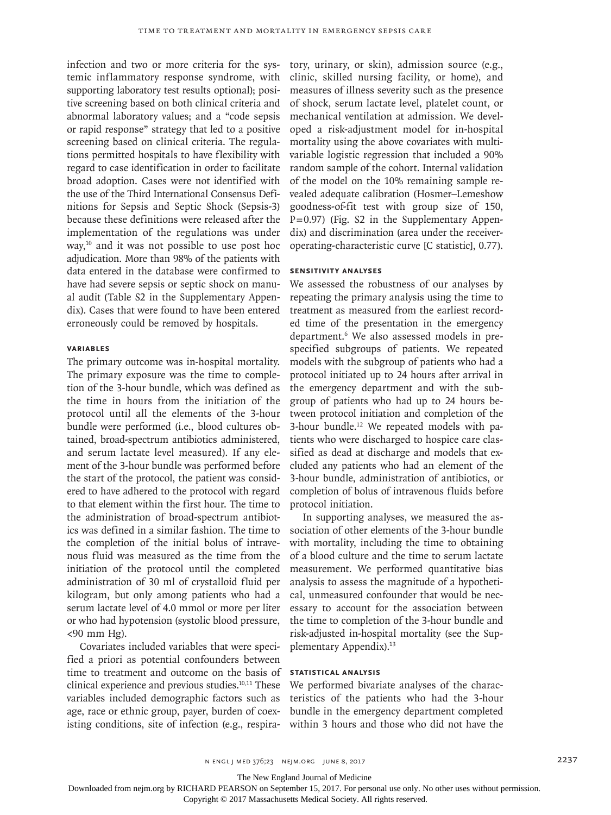infection and two or more criteria for the systemic inflammatory response syndrome, with supporting laboratory test results optional); positive screening based on both clinical criteria and abnormal laboratory values; and a "code sepsis or rapid response" strategy that led to a positive screening based on clinical criteria. The regulations permitted hospitals to have flexibility with regard to case identification in order to facilitate broad adoption. Cases were not identified with the use of the Third International Consensus Definitions for Sepsis and Septic Shock (Sepsis-3) because these definitions were released after the implementation of the regulations was under way,<sup>10</sup> and it was not possible to use post hoc adjudication. More than 98% of the patients with data entered in the database were confirmed to have had severe sepsis or septic shock on manual audit (Table S2 in the Supplementary Appendix). Cases that were found to have been entered erroneously could be removed by hospitals.

# **Variables**

The primary outcome was in-hospital mortality. The primary exposure was the time to completion of the 3-hour bundle, which was defined as the time in hours from the initiation of the protocol until all the elements of the 3-hour bundle were performed (i.e., blood cultures obtained, broad-spectrum antibiotics administered, and serum lactate level measured). If any element of the 3-hour bundle was performed before the start of the protocol, the patient was considered to have adhered to the protocol with regard to that element within the first hour. The time to the administration of broad-spectrum antibiotics was defined in a similar fashion. The time to the completion of the initial bolus of intravenous fluid was measured as the time from the initiation of the protocol until the completed administration of 30 ml of crystalloid fluid per kilogram, but only among patients who had a serum lactate level of 4.0 mmol or more per liter or who had hypotension (systolic blood pressure, <90 mm Hg).

Covariates included variables that were specified a priori as potential confounders between time to treatment and outcome on the basis of clinical experience and previous studies.10,11 These variables included demographic factors such as age, race or ethnic group, payer, burden of coexisting conditions, site of infection (e.g., respiratory, urinary, or skin), admission source (e.g., clinic, skilled nursing facility, or home), and measures of illness severity such as the presence of shock, serum lactate level, platelet count, or mechanical ventilation at admission. We developed a risk-adjustment model for in-hospital mortality using the above covariates with multivariable logistic regression that included a 90% random sample of the cohort. Internal validation of the model on the 10% remaining sample revealed adequate calibration (Hosmer–Lemeshow goodness-of-fit test with group size of 150,  $P=0.97$ ) (Fig. S2 in the Supplementary Appendix) and discrimination (area under the receiveroperating-characteristic curve [C statistic], 0.77).

### **Sensitivity Analyses**

We assessed the robustness of our analyses by repeating the primary analysis using the time to treatment as measured from the earliest recorded time of the presentation in the emergency department.6 We also assessed models in prespecified subgroups of patients. We repeated models with the subgroup of patients who had a protocol initiated up to 24 hours after arrival in the emergency department and with the subgroup of patients who had up to 24 hours between protocol initiation and completion of the 3-hour bundle.12 We repeated models with patients who were discharged to hospice care classified as dead at discharge and models that excluded any patients who had an element of the 3-hour bundle, administration of antibiotics, or completion of bolus of intravenous fluids before protocol initiation.

In supporting analyses, we measured the association of other elements of the 3-hour bundle with mortality, including the time to obtaining of a blood culture and the time to serum lactate measurement. We performed quantitative bias analysis to assess the magnitude of a hypothetical, unmeasured confounder that would be necessary to account for the association between the time to completion of the 3-hour bundle and risk-adjusted in-hospital mortality (see the Supplementary Appendix).<sup>13</sup>

## **Statistical Analysis**

We performed bivariate analyses of the characteristics of the patients who had the 3-hour bundle in the emergency department completed within 3 hours and those who did not have the

The New England Journal of Medicine

Downloaded from nejm.org by RICHARD PEARSON on September 15, 2017. For personal use only. No other uses without permission.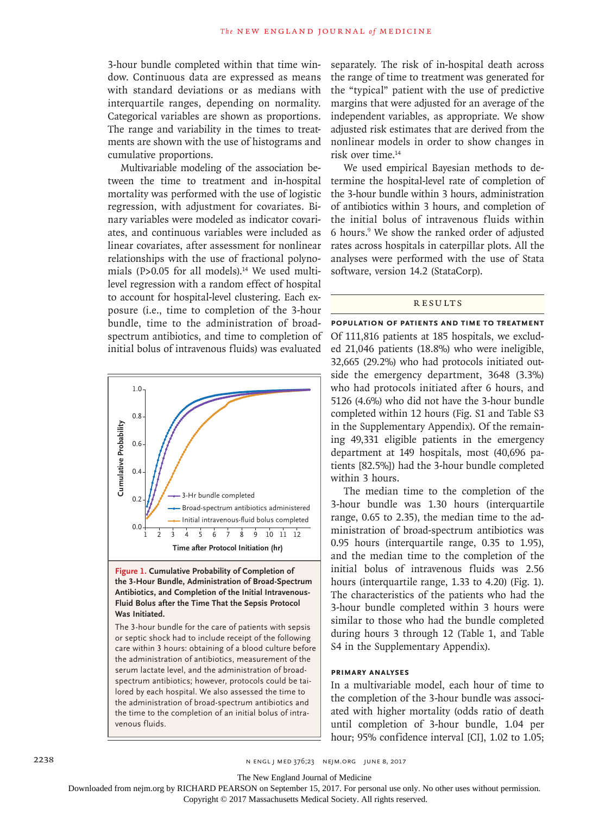3-hour bundle completed within that time window. Continuous data are expressed as means with standard deviations or as medians with interquartile ranges, depending on normality. Categorical variables are shown as proportions. The range and variability in the times to treatments are shown with the use of histograms and cumulative proportions.

Multivariable modeling of the association between the time to treatment and in-hospital mortality was performed with the use of logistic regression, with adjustment for covariates. Binary variables were modeled as indicator covariates, and continuous variables were included as linear covariates, after assessment for nonlinear relationships with the use of fractional polynomials (P>0.05 for all models). $14$  We used multilevel regression with a random effect of hospital to account for hospital-level clustering. Each exposure (i.e., time to completion of the 3-hour bundle, time to the administration of broadspectrum antibiotics, and time to completion of initial bolus of intravenous fluids) was evaluated





The 3-hour bundle for the care of patients with sepsis or septic shock had to include receipt of the following care within 3 hours: obtaining of a blood culture before the administration of antibiotics, measurement of the serum lactate level, and the administration of broadspectrum antibiotics; however, protocols could be tailored by each hospital. We also assessed the time to the administration of broad-spectrum antibiotics and the time to the completion of an initial bolus of intravenous fluids.

separately. The risk of in-hospital death across the range of time to treatment was generated for the "typical" patient with the use of predictive margins that were adjusted for an average of the independent variables, as appropriate. We show adjusted risk estimates that are derived from the nonlinear models in order to show changes in risk over time.14

We used empirical Bayesian methods to determine the hospital-level rate of completion of the 3-hour bundle within 3 hours, administration of antibiotics within 3 hours, and completion of the initial bolus of intravenous fluids within 6 hours.9 We show the ranked order of adjusted rates across hospitals in caterpillar plots. All the analyses were performed with the use of Stata software, version 14.2 (StataCorp).

## **RESULTS**

**Population of Patients and Time to Treatment** Of 111,816 patients at 185 hospitals, we excluded 21,046 patients (18.8%) who were ineligible, 32,665 (29.2%) who had protocols initiated outside the emergency department, 3648 (3.3%) who had protocols initiated after 6 hours, and 5126 (4.6%) who did not have the 3-hour bundle completed within 12 hours (Fig. S1 and Table S3 in the Supplementary Appendix). Of the remaining 49,331 eligible patients in the emergency department at 149 hospitals, most (40,696 patients [82.5%]) had the 3-hour bundle completed within 3 hours.

The median time to the completion of the 3-hour bundle was 1.30 hours (interquartile range, 0.65 to 2.35), the median time to the administration of broad-spectrum antibiotics was 0.95 hours (interquartile range, 0.35 to 1.95), and the median time to the completion of the initial bolus of intravenous fluids was 2.56 hours (interquartile range, 1.33 to 4.20) (Fig. 1). The characteristics of the patients who had the 3-hour bundle completed within 3 hours were similar to those who had the bundle completed during hours 3 through 12 (Table 1, and Table S4 in the Supplementary Appendix).

## **Primary Analyses**

In a multivariable model, each hour of time to the completion of the 3-hour bundle was associated with higher mortality (odds ratio of death until completion of 3-hour bundle, 1.04 per hour; 95% confidence interval [CI], 1.02 to 1.05;

The New England Journal of Medicine

Downloaded from nejm.org by RICHARD PEARSON on September 15, 2017. For personal use only. No other uses without permission.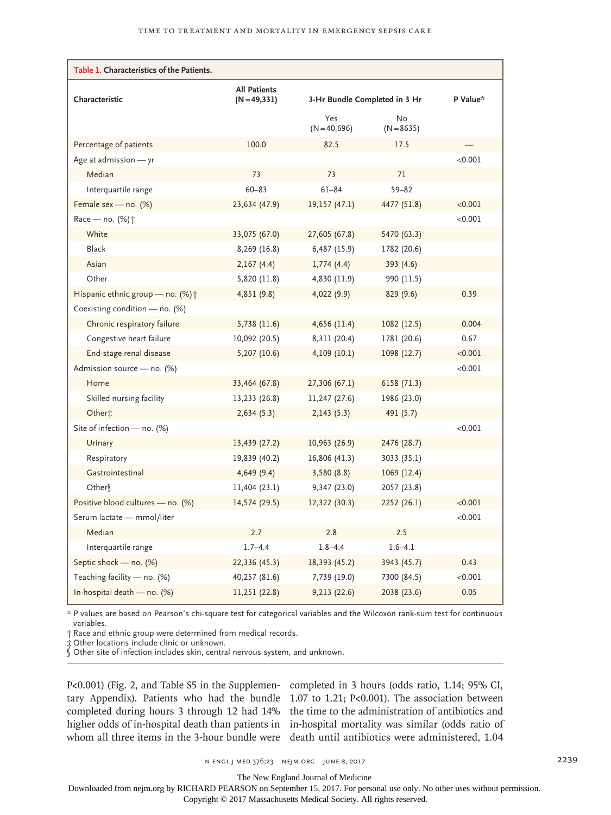| Table 1. Characteristics of the Patients. |                                 |                       |                                           |         |  |
|-------------------------------------------|---------------------------------|-----------------------|-------------------------------------------|---------|--|
| Characteristic                            | All Patients<br>$(N = 49, 331)$ |                       | 3-Hr Bundle Completed in 3 Hr<br>P Value* |         |  |
|                                           |                                 | Yes<br>$(N = 40,696)$ | No<br>$(N = 8635)$                        |         |  |
| Percentage of patients                    | 100.0                           | 82.5                  | 17.5                                      |         |  |
| Age at admission — yr                     |                                 |                       |                                           | < 0.001 |  |
| Median                                    | 73                              | 73                    | 71                                        |         |  |
| Interquartile range                       | $60 - 83$                       | $61 - 84$             | $59 - 82$                                 |         |  |
| Female sex - no. (%)                      | 23,634 (47.9)                   | 19,157 (47.1)         | 4477 (51.8)                               | < 0.001 |  |
| Race - no. (%) <sup>+</sup>               |                                 |                       |                                           | < 0.001 |  |
| White                                     | 33,075 (67.0)                   | 27,605 (67.8)         | 5470 (63.3)                               |         |  |
| <b>Black</b>                              | 8,269 (16.8)                    | 6,487 (15.9)          | 1782 (20.6)                               |         |  |
| Asian                                     | 2,167(4.4)                      | 1,774(4.4)            | 393(4.6)                                  |         |  |
| Other                                     | 5,820 (11.8)                    | 4,830 (11.9)          | 990 (11.5)                                |         |  |
| Hispanic ethnic group - no. (%) +         | 4,851 (9.8)                     | 4,022(9.9)            | 829(9.6)                                  | 0.39    |  |
| Coexisting condition - no. (%)            |                                 |                       |                                           |         |  |
| Chronic respiratory failure               | 5,738 (11.6)                    | 4,656(11.4)           | 1082 (12.5)                               | 0.004   |  |
| Congestive heart failure                  | 10,092 (20.5)                   | 8,311 (20.4)          | 1781 (20.6)                               | 0.67    |  |
| End-stage renal disease                   | 5,207 (10.6)                    | 4,109(10.1)           | 1098 (12.7)                               | < 0.001 |  |
| Admission source — no. (%)                |                                 |                       |                                           | < 0.001 |  |
| Home                                      | 33,464 (67.8)                   | 27,306 (67.1)         | 6158 (71.3)                               |         |  |
| Skilled nursing facility                  | 13,233 (26.8)                   | 11,247 (27.6)         | 1986 (23.0)                               |         |  |
| Otheri                                    | 2,634(5.3)                      | 2,143(5.3)            | 491 (5.7)                                 |         |  |
| Site of infection - no. (%)               |                                 |                       |                                           | < 0.001 |  |
| Urinary                                   | 13,439 (27.2)                   | 10,963 (26.9)         | 2476 (28.7)                               |         |  |
| Respiratory                               | 19,839 (40.2)                   | 16,806 (41.3)         | 3033 (35.1)                               |         |  |
| Gastrointestinal                          | 4,649(9.4)                      | 3,580(8.8)            | 1069(12.4)                                |         |  |
| Other                                     | 11,404 (23.1)                   | 9,347 (23.0)          | 2057 (23.8)                               |         |  |
| Positive blood cultures - no. (%)         | 14,574 (29.5)                   | 12,322 (30.3)         | 2252 (26.1)                               | < 0.001 |  |
| Serum lactate - mmol/liter                |                                 |                       |                                           | < 0.001 |  |
| Median                                    | 2.7                             | 2.8                   | 2.5                                       |         |  |
| Interquartile range                       | $1.7 - 4.4$                     | $1.8 - 4.4$           | $1.6 - 4.1$                               |         |  |
| Septic shock - no. (%)                    | 22,336 (45.3)                   | 18,393 (45.2)         | 3943 (45.7)                               | 0.43    |  |
| Teaching facility - no. (%)               | 40,257 (81.6)                   | 7,739 (19.0)          | 7300 (84.5)                               | < 0.001 |  |
| In-hospital death $-$ no. (%)             | 11,251 (22.8)                   | 9,213(22.6)           | 2038 (23.6)                               | 0.05    |  |

\* P values are based on Pearson's chi-square test for categorical variables and the Wilcoxon rank-sum test for continuous variables.

† Race and ethnic group were determined from medical records.

‡ Other locations include clinic or unknown.

§ Other site of infection includes skin, central nervous system, and unknown.

P<0.001) (Fig. 2, and Table S5 in the Supplemen-completed in 3 hours (odds ratio, 1.14; 95% CI, tary Appendix). Patients who had the bundle 1.07 to 1.21; P<0.001). The association between completed during hours 3 through 12 had 14% the time to the administration of antibiotics and higher odds of in-hospital death than patients in in-hospital mortality was similar (odds ratio of whom all three items in the 3-hour bundle were death until antibiotics were administered, 1.04

The New England Journal of Medicine

Downloaded from nejm.org by RICHARD PEARSON on September 15, 2017. For personal use only. No other uses without permission.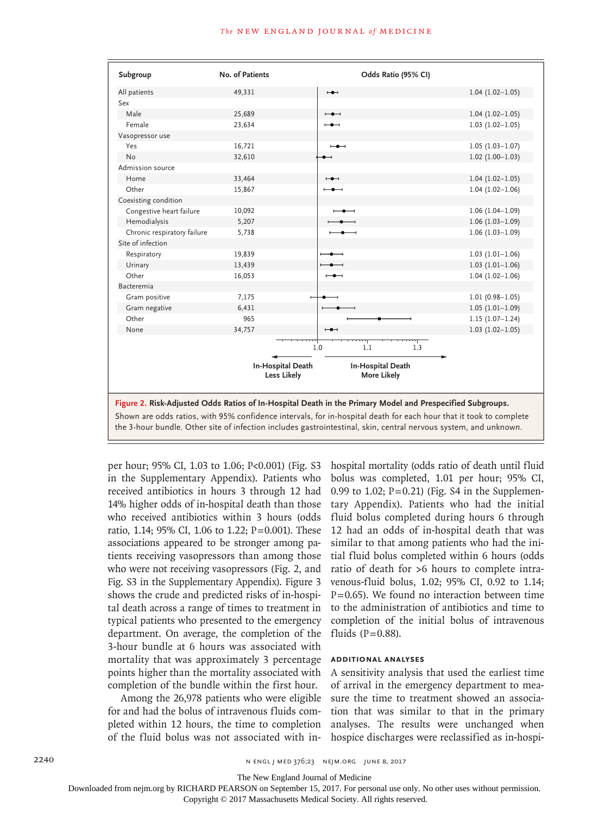| Subgroup                    | No. of Patients   | Odds Ratio (95% CI)                                                                                                                                                                                                                                                                                                                                 |
|-----------------------------|-------------------|-----------------------------------------------------------------------------------------------------------------------------------------------------------------------------------------------------------------------------------------------------------------------------------------------------------------------------------------------------|
| All patients                | 49,331            | $1.04(1.02 - 1.05)$<br>$\overline{\phantom{a}}$                                                                                                                                                                                                                                                                                                     |
| Sex                         |                   |                                                                                                                                                                                                                                                                                                                                                     |
| Male                        | 25,689            | $1.04(1.02 - 1.05)$<br>$-\bullet -$                                                                                                                                                                                                                                                                                                                 |
| Female                      | 23,634            | $1.03(1.02 - 1.05)$<br>$-\bullet -$                                                                                                                                                                                                                                                                                                                 |
| Vasopressor use             |                   |                                                                                                                                                                                                                                                                                                                                                     |
| Yes                         | 16,721            | $1.05(1.03 - 1.07)$<br>$\overline{\phantom{a}}$                                                                                                                                                                                                                                                                                                     |
| No                          | 32,610            | $1.02(1.00-1.03)$<br>$\bullet$                                                                                                                                                                                                                                                                                                                      |
| Admission source            |                   |                                                                                                                                                                                                                                                                                                                                                     |
| Home                        | 33,464            | $1.04(1.02 - 1.05)$<br>$\overline{\phantom{a}}$                                                                                                                                                                                                                                                                                                     |
| Other                       | 15,867            | $1.04(1.02 - 1.06)$<br>$\bullet$ $\hspace{0.04cm}$                                                                                                                                                                                                                                                                                                  |
| Coexisting condition        |                   |                                                                                                                                                                                                                                                                                                                                                     |
| Congestive heart failure    | 10,092            | $1.06(1.04-1.09)$<br>$\bullet$                                                                                                                                                                                                                                                                                                                      |
| Hemodialysis                | 5,207             | $1.06(1.03-1.09)$                                                                                                                                                                                                                                                                                                                                   |
| Chronic respiratory failure | 5,738             | $1.06(1.03-1.09)$                                                                                                                                                                                                                                                                                                                                   |
| Site of infection           |                   |                                                                                                                                                                                                                                                                                                                                                     |
| Respiratory                 | 19,839            | $1.03(1.01-1.06)$                                                                                                                                                                                                                                                                                                                                   |
| Urinary                     | 13,439            | $1.03(1.01-1.06)$                                                                                                                                                                                                                                                                                                                                   |
| Other                       | 16,053            | $1.04(1.02 - 1.06)$<br>$\overline{\phantom{a}}$                                                                                                                                                                                                                                                                                                     |
| <b>Bacteremia</b>           |                   |                                                                                                                                                                                                                                                                                                                                                     |
| Gram positive               | 7,175             | $1.01(0.98 - 1.05)$                                                                                                                                                                                                                                                                                                                                 |
| Gram negative               | 6,431             | $1.05(1.01-1.09)$                                                                                                                                                                                                                                                                                                                                   |
| Other                       | 965               | $1.15(1.07-1.24)$                                                                                                                                                                                                                                                                                                                                   |
| None                        | 34,757            | $1.03(1.02 - 1.05)$<br>$\overline{\phantom{a}}$                                                                                                                                                                                                                                                                                                     |
|                             |                   | 1.3<br>1.0<br>1.1                                                                                                                                                                                                                                                                                                                                   |
|                             | In-Hospital Death | In-Hospital Death                                                                                                                                                                                                                                                                                                                                   |
|                             | Less Likely       | <b>More Likely</b>                                                                                                                                                                                                                                                                                                                                  |
|                             |                   | Figure 2. Risk-Adjusted Odds Ratios of In-Hospital Death in the Primary Model and Prespecified Subgroups.<br>Shown are odds ratios, with 95% confidence intervals, for in-hospital death for each hour that it took to complete<br>the 3-hour bundle. Other site of infection includes gastrointestinal, skin, central nervous system, and unknown. |

per hour; 95% CI, 1.03 to 1.06; P<0.001) (Fig. S3 in the Supplementary Appendix). Patients who received antibiotics in hours 3 through 12 had 14% higher odds of in-hospital death than those who received antibiotics within 3 hours (odds ratio, 1.14; 95% CI, 1.06 to 1.22; P=0.001). These associations appeared to be stronger among patients receiving vasopressors than among those who were not receiving vasopressors (Fig. 2, and Fig. S3 in the Supplementary Appendix). Figure 3 shows the crude and predicted risks of in-hospital death across a range of times to treatment in typical patients who presented to the emergency department. On average, the completion of the 3-hour bundle at 6 hours was associated with mortality that was approximately 3 percentage points higher than the mortality associated with completion of the bundle within the first hour.

Among the 26,978 patients who were eligible for and had the bolus of intravenous fluids completed within 12 hours, the time to completion of the fluid bolus was not associated with inhospital mortality (odds ratio of death until fluid bolus was completed, 1.01 per hour; 95% CI, 0.99 to 1.02;  $P = 0.21$ ) (Fig. S4 in the Supplementary Appendix). Patients who had the initial fluid bolus completed during hours 6 through 12 had an odds of in-hospital death that was similar to that among patients who had the initial fluid bolus completed within 6 hours (odds ratio of death for >6 hours to complete intravenous-fluid bolus, 1.02; 95% CI, 0.92 to 1.14;  $P = 0.65$ ). We found no interaction between time to the administration of antibiotics and time to completion of the initial bolus of intravenous fluids  $(P=0.88)$ .

#### **Additional Analyses**

A sensitivity analysis that used the earliest time of arrival in the emergency department to measure the time to treatment showed an association that was similar to that in the primary analyses. The results were unchanged when hospice discharges were reclassified as in-hospi-

The New England Journal of Medicine

Downloaded from nejm.org by RICHARD PEARSON on September 15, 2017. For personal use only. No other uses without permission.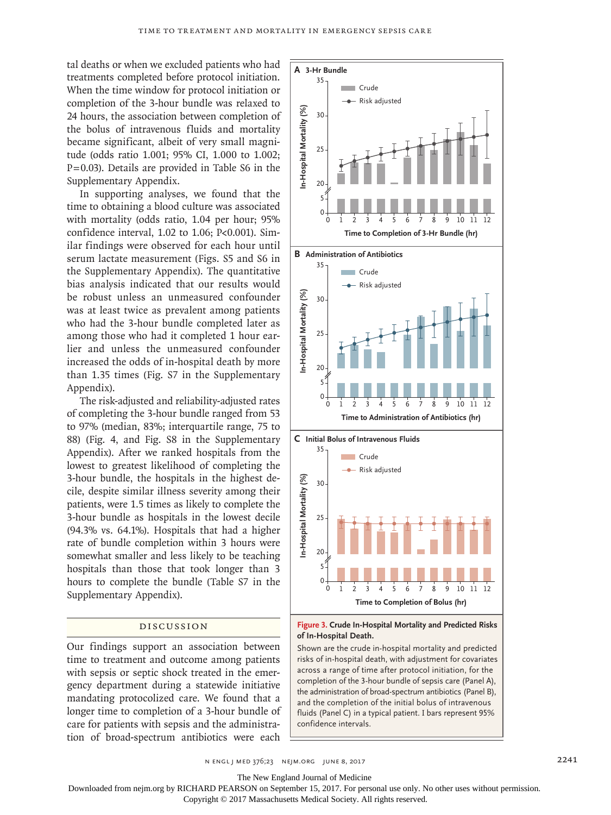tal deaths or when we excluded patients who had treatments completed before protocol initiation. When the time window for protocol initiation or completion of the 3-hour bundle was relaxed to 24 hours, the association between completion of the bolus of intravenous fluids and mortality became significant, albeit of very small magnitude (odds ratio 1.001; 95% CI, 1.000 to 1.002; P=0.03). Details are provided in Table S6 in the Supplementary Appendix.

In supporting analyses, we found that the time to obtaining a blood culture was associated with mortality (odds ratio, 1.04 per hour; 95% confidence interval, 1.02 to 1.06; P<0.001). Similar findings were observed for each hour until serum lactate measurement (Figs. S5 and S6 in the Supplementary Appendix). The quantitative bias analysis indicated that our results would be robust unless an unmeasured confounder was at least twice as prevalent among patients who had the 3-hour bundle completed later as among those who had it completed 1 hour earlier and unless the unmeasured confounder increased the odds of in-hospital death by more than 1.35 times (Fig. S7 in the Supplementary Appendix).

The risk-adjusted and reliability-adjusted rates of completing the 3-hour bundle ranged from 53 to 97% (median, 83%; interquartile range, 75 to 88) (Fig. 4, and Fig. S8 in the Supplementary Appendix). After we ranked hospitals from the lowest to greatest likelihood of completing the 3-hour bundle, the hospitals in the highest decile, despite similar illness severity among their patients, were 1.5 times as likely to complete the 3-hour bundle as hospitals in the lowest decile (94.3% vs. 64.1%). Hospitals that had a higher rate of bundle completion within 3 hours were somewhat smaller and less likely to be teaching hospitals than those that took longer than 3 hours to complete the bundle (Table S7 in the Supplementary Appendix).

## Discussion

Our findings support an association between time to treatment and outcome among patients with sepsis or septic shock treated in the emergency department during a statewide initiative mandating protocolized care. We found that a longer time to completion of a 3-hour bundle of care for patients with sepsis and the administration of broad-spectrum antibiotics were each



**Figure 3. Crude In-Hospital Mortality and Predicted Risks of In-Hospital Death.**

Shown are the crude in-hospital mortality and predicted risks of in-hospital death, with adjustment for covariates across a range of time after protocol initiation, for the completion of the 3-hour bundle of sepsis care (Panel A), the administration of broad-spectrum antibiotics (Panel B), and the completion of the initial bolus of intravenous fluids (Panel C) in a typical patient. I bars represent 95% confidence intervals.

n ENGL J MED 376;23 NEJM.ORG JUNE 8, 2017 2241

The New England Journal of Medicine

Downloaded from nejm.org by RICHARD PEARSON on September 15, 2017. For personal use only. No other uses without permission.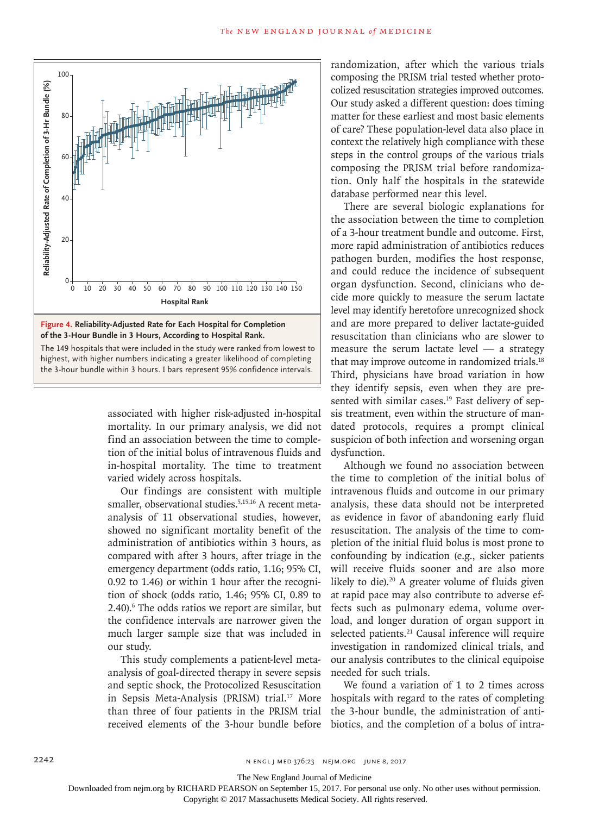

The 149 hospitals that were included in the study were ranked from lowest to highest, with higher numbers indicating a greater likelihood of completing

> associated with higher risk-adjusted in-hospital mortality. In our primary analysis, we did not find an association between the time to completion of the initial bolus of intravenous fluids and in-hospital mortality. The time to treatment varied widely across hospitals.

> Our findings are consistent with multiple smaller, observational studies.<sup>5,15,16</sup> A recent metaanalysis of 11 observational studies, however, showed no significant mortality benefit of the administration of antibiotics within 3 hours, as compared with after 3 hours, after triage in the emergency department (odds ratio, 1.16; 95% CI, 0.92 to 1.46) or within 1 hour after the recognition of shock (odds ratio, 1.46; 95% CI, 0.89 to 2.40).<sup>6</sup> The odds ratios we report are similar, but the confidence intervals are narrower given the much larger sample size that was included in our study.

> This study complements a patient-level metaanalysis of goal-directed therapy in severe sepsis and septic shock, the Protocolized Resuscitation in Sepsis Meta-Analysis (PRISM) trial.<sup>17</sup> More than three of four patients in the PRISM trial received elements of the 3-hour bundle before

randomization, after which the various trials composing the PRISM trial tested whether protocolized resuscitation strategies improved outcomes. Our study asked a different question: does timing matter for these earliest and most basic elements of care? These population-level data also place in context the relatively high compliance with these steps in the control groups of the various trials composing the PRISM trial before randomization. Only half the hospitals in the statewide database performed near this level.

There are several biologic explanations for the association between the time to completion of a 3-hour treatment bundle and outcome. First, more rapid administration of antibiotics reduces pathogen burden, modifies the host response, and could reduce the incidence of subsequent organ dysfunction. Second, clinicians who decide more quickly to measure the serum lactate level may identify heretofore unrecognized shock and are more prepared to deliver lactate-guided resuscitation than clinicians who are slower to measure the serum lactate level  $-$  a strategy that may improve outcome in randomized trials.18 Third, physicians have broad variation in how they identify sepsis, even when they are presented with similar cases.<sup>19</sup> Fast delivery of sepsis treatment, even within the structure of mandated protocols, requires a prompt clinical suspicion of both infection and worsening organ dysfunction.

Although we found no association between the time to completion of the initial bolus of intravenous fluids and outcome in our primary analysis, these data should not be interpreted as evidence in favor of abandoning early fluid resuscitation. The analysis of the time to completion of the initial fluid bolus is most prone to confounding by indication (e.g., sicker patients will receive fluids sooner and are also more likely to die). $20$  A greater volume of fluids given at rapid pace may also contribute to adverse effects such as pulmonary edema, volume overload, and longer duration of organ support in selected patients.<sup>21</sup> Causal inference will require investigation in randomized clinical trials, and our analysis contributes to the clinical equipoise needed for such trials.

We found a variation of 1 to 2 times across hospitals with regard to the rates of completing the 3-hour bundle, the administration of antibiotics, and the completion of a bolus of intra-

The New England Journal of Medicine

Downloaded from nejm.org by RICHARD PEARSON on September 15, 2017. For personal use only. No other uses without permission.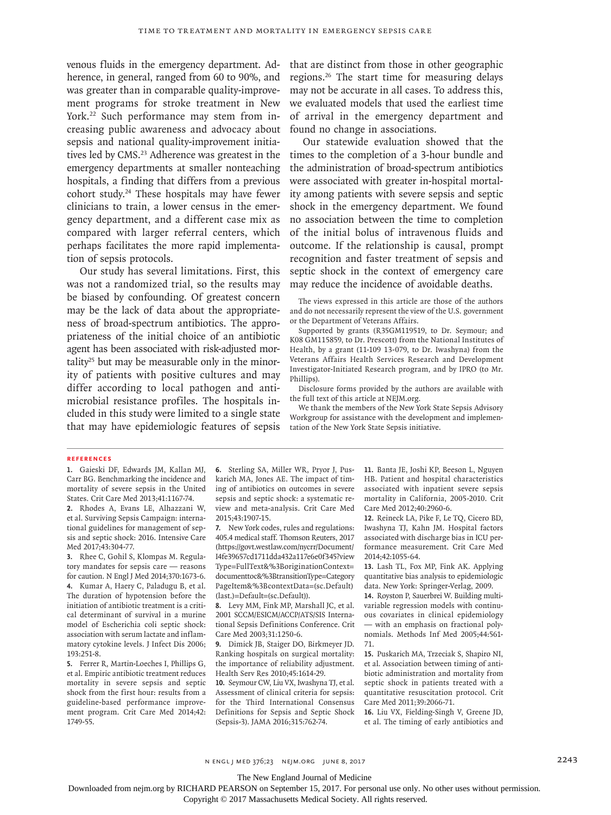venous fluids in the emergency department. Adherence, in general, ranged from 60 to 90%, and was greater than in comparable quality-improvement programs for stroke treatment in New York.<sup>22</sup> Such performance may stem from increasing public awareness and advocacy about sepsis and national quality-improvement initiatives led by CMS.<sup>23</sup> Adherence was greatest in the emergency departments at smaller nonteaching hospitals, a finding that differs from a previous cohort study.24 These hospitals may have fewer clinicians to train, a lower census in the emergency department, and a different case mix as compared with larger referral centers, which perhaps facilitates the more rapid implementation of sepsis protocols.

Our study has several limitations. First, this was not a randomized trial, so the results may be biased by confounding. Of greatest concern may be the lack of data about the appropriateness of broad-spectrum antibiotics. The appropriateness of the initial choice of an antibiotic agent has been associated with risk-adjusted mortality<sup>25</sup> but may be measurable only in the minority of patients with positive cultures and may differ according to local pathogen and antimicrobial resistance profiles. The hospitals included in this study were limited to a single state that may have epidemiologic features of sepsis that are distinct from those in other geographic regions.26 The start time for measuring delays may not be accurate in all cases. To address this, we evaluated models that used the earliest time of arrival in the emergency department and found no change in associations.

Our statewide evaluation showed that the times to the completion of a 3-hour bundle and the administration of broad-spectrum antibiotics were associated with greater in-hospital mortality among patients with severe sepsis and septic shock in the emergency department. We found no association between the time to completion of the initial bolus of intravenous fluids and outcome. If the relationship is causal, prompt recognition and faster treatment of sepsis and septic shock in the context of emergency care may reduce the incidence of avoidable deaths.

The views expressed in this article are those of the authors and do not necessarily represent the view of the U.S. government or the Department of Veterans Affairs.

Supported by grants (R35GM119519, to Dr. Seymour; and K08 GM115859, to Dr. Prescott) from the National Institutes of Health, by a grant (11-109 13-079, to Dr. Iwashyna) from the Veterans Affairs Health Services Research and Development Investigator-Initiated Research program, and by IPRO (to Mr. Phillips).

Disclosure forms provided by the authors are available with the full text of this article at NEJM.org.

We thank the members of the New York State Sepsis Advisory Workgroup for assistance with the development and implementation of the New York State Sepsis initiative.

#### **References**

**1.** Gaieski DF, Edwards JM, Kallan MJ, Carr BG. Benchmarking the incidence and mortality of severe sepsis in the United States. Crit Care Med 2013;41:1167-74.

**2.** Rhodes A, Evans LE, Alhazzani W, et al. Surviving Sepsis Campaign: international guidelines for management of sepsis and septic shock: 2016. Intensive Care Med 2017;43:304-77.

**3.** Rhee C, Gohil S, Klompas M. Regulatory mandates for sepsis care — reasons for caution. N Engl J Med 2014;370:1673-6. **4.** Kumar A, Haery C, Paladugu B, et al. The duration of hypotension before the initiation of antibiotic treatment is a critical determinant of survival in a murine model of Escherichia coli septic shock: association with serum lactate and inflammatory cytokine levels. J Infect Dis 2006; 193:251-8.

**5.** Ferrer R, Martin-Loeches I, Phillips G, et al. Empiric antibiotic treatment reduces mortality in severe sepsis and septic shock from the first hour: results from a guideline-based performance improvement program. Crit Care Med 2014;42: 1749-55.

**6.** Sterling SA, Miller WR, Pryor J, Puskarich MA, Jones AE. The impact of timing of antibiotics on outcomes in severe sepsis and septic shock: a systematic review and meta-analysis. Crit Care Med 2015;43:1907-15.

**7.** New York codes, rules and regulations: 405.4 medical staff. Thomson Reuters, 2017 (https://govt.westlaw.com/nycrr/Document/ I4fe39657cd1711dda432a117e6e0f345?view Type=FullText&%3BoriginationContext= documenttoc&%3BtransitionType=Category PageItem&%3BcontextData=(sc.Default) (last.)=Default=(sc.Default)).

**8.** Levy MM, Fink MP, Marshall JC, et al. 2001 SCCM/ESICM/ACCP/ATS/SIS International Sepsis Definitions Conference. Crit Care Med 2003;31:1250-6.

**9.** Dimick JB, Staiger DO, Birkmeyer JD. Ranking hospitals on surgical mortality: the importance of reliability adjustment. Health Serv Res 2010;45:1614-29.

**10.** Seymour CW, Liu VX, Iwashyna TJ, et al. Assessment of clinical criteria for sepsis: for the Third International Consensus Definitions for Sepsis and Septic Shock (Sepsis-3). JAMA 2016;315:762-74.

**11.** Banta JE, Joshi KP, Beeson L, Nguyen HB. Patient and hospital characteristics associated with inpatient severe sepsis mortality in California, 2005-2010. Crit Care Med 2012;40:2960-6.

**12.** Reineck LA, Pike F, Le TQ, Cicero BD, Iwashyna TJ, Kahn JM. Hospital factors associated with discharge bias in ICU performance measurement. Crit Care Med 2014;42:1055-64.

**13.** Lash TL, Fox MP, Fink AK. Applying quantitative bias analysis to epidemiologic data. New York: Springer-Verlag, 2009.

**14.** Royston P, Sauerbrei W. Building multivariable regression models with continuous covariates in clinical epidemiology — with an emphasis on fractional polynomials. Methods Inf Med 2005;44:561- 71.

**15.** Puskarich MA, Trzeciak S, Shapiro NI, et al. Association between timing of antibiotic administration and mortality from septic shock in patients treated with a quantitative resuscitation protocol. Crit Care Med 2011;39:2066-71.

**16.** Liu VX, Fielding-Singh V, Greene JD, et al. The timing of early antibiotics and

The New England Journal of Medicine

Downloaded from nejm.org by RICHARD PEARSON on September 15, 2017. For personal use only. No other uses without permission.